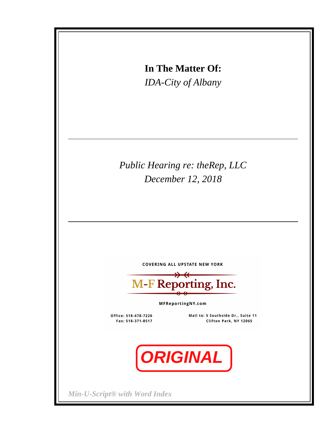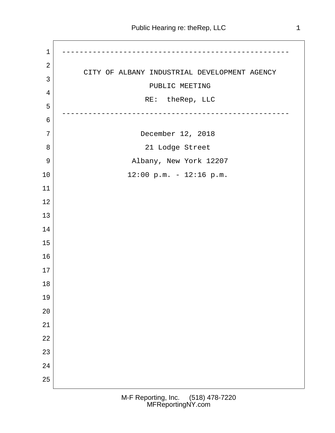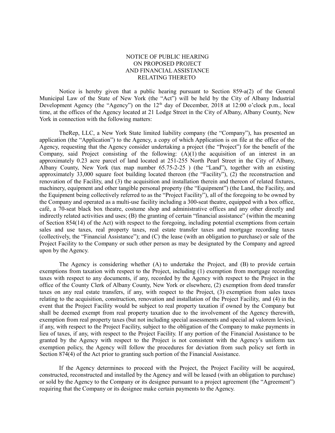## NOTICE OF PUBLIC HEARING ON PROPOSED PROJECT AND FINANCIAL ASSISTANCE RELATING THERETO

Notice is hereby given that a public hearing pursuant to Section  $859-a(2)$  of the General Municipal Law of the State of New York (the "Act") will be held by the City of Albany Industrial Development Agency (the "Agency") on the  $12<sup>th</sup>$  day of December, 2018 at 12:00 o'clock p.m., local time, at the offices of the Agency located at 21 Lodge Street in the City of Albany, Albany County, New York in connection with the following matters:

TheRep, LLC, a New York State limited liability company (the "Company"), has presented an application (the "Application") to the Agency, a copy of which Application is on file at the office of the Agency, requesting that the Agency consider undertaking a project (the "Project") for the benefit of the Company, said Project consisting of the following: (A)(1) the acquisition of an interest in an approximately 0.23 acre parcel of land located at 251-255 North Pearl Street in the City of Albany, Albany County, New York (tax map number 65.75-2-25 ) (the "Land"), together with an existing approximately 33,000 square foot building located thereon (the "Facility"), (2) the reconstruction and renovation of the Facility, and (3) the acquisition and installation therein and thereon of related fixtures, machinery, equipment and other tangible personal property (the "Equipment") (the Land, the Facility, and the Equipment being collectively referred to as the "Project Facility"), all of the foregoing to be owned by the Company and operated as a multi-use facility including a 300-seat theatre, equipped with a box office, café, a 70-seat black box theatre, costume shop and administrative offices and any other directly and indirectly related activities and uses; (B) the granting of certain "financial assistance" (within the meaning of Section 854(14) of the Act) with respect to the foregoing, including potential exemptions from certain sales and use taxes, real property taxes, real estate transfer taxes and mortgage recording taxes (collectively, the "Financial Assistance"); and (C) the lease (with an obligation to purchase) or sale of the Project Facility to the Company or such other person as may be designated by the Company and agreed upon by the Agency.

The Agency is considering whether (A) to undertake the Project, and (B) to provide certain exemptions from taxation with respect to the Project, including (1) exemption from mortgage recording taxes with respect to any documents, if any, recorded by the Agency with respect to the Project in the office of the County Clerk of Albany County, New York or elsewhere, (2) exemption from deed transfer taxes on any real estate transfers, if any, with respect to the Project, (3) exemption from sales taxes relating to the acquisition, construction, renovation and installation of the Project Facility, and (4) in the event that the Project Facility would be subject to real property taxation if owned by the Company but shall be deemed exempt from real property taxation due to the involvement of the Agency therewith, exemption from real property taxes (but not including special assessments and special ad valorem levies), if any, with respect to the Project Facility, subject to the obligation of the Company to make payments in lieu of taxes, if any, with respect to the Project Facility. If any portion of the Financial Assistance to be granted by the Agency with respect to the Project is not consistent with the Agency's uniform tax exemption policy, the Agency will follow the procedures for deviation from such policy set forth in Section 874(4) of the Act prior to granting such portion of the Financial Assistance.

If the Agency determines to proceed with the Project, the Project Facility will be acquired, constructed, reconstructed and installed by the Agency and will be leased (with an obligation to purchase) or sold by the Agency to the Company or its designee pursuant to a project agreement (the "Agreement") requiring that the Company or its designee make certain payments to the Agency.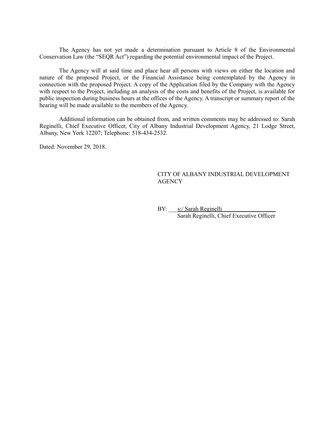The Agency has not yet made a determination pursuant to Article 8 of the Environmental Conservation Law (the "SEQR Act") regarding the potential environmental impact of the Project.

The Agency will at said time and place hear all persons with views on either the location and nature of the proposed Project, or the Financial Assistance being contemplated by the Agency in connection with the proposed Project. A copy of the Application filed by the Company with the Agency with respect to the Project, including an analysis of the costs and benefits of the Project, is available for public inspection during business hours at the offices of the Agency. A transcript or summary report of the hearing will be made available to the members of the Agency.

Additional information can be obtained from, and written comments may be addressed to: Sarah Reginelli, Chief Executive Officer, City of Albany Industrial Development Agency, 21 Lodge Street, Albany, New York 12207; Telephone: 518-434-2532.

Dated: November 29, 2018.

## CITY OF ALBANY INDUSTRIAL DEVELOPMENT **AGENCY**

BY: s:/ Sarah Reginelli Sarah Reginelli, Chief Executive Officer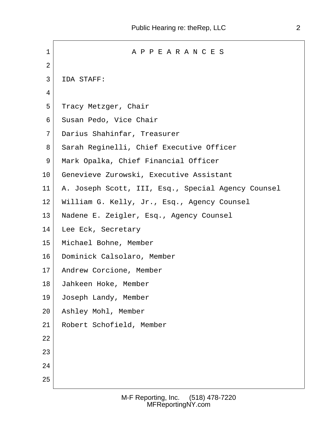1 A P P E A R A N C E S  $2 \mid$  3 IDA STAFF: 4 5 Tracy Metzger, Chair 6 Susan Pedo, Vice Chair 7 Darius Shahinfar, Treasurer 8 Sarah Reginelli, Chief Executive Officer 9 Mark Opalka, Chief Financial Officer 10 Genevieve Zurowski, Executive Assistant 11 A. Joseph Scott, III, Esq., Special Agency Counsel 12 William G. Kelly, Jr., Esq., Agency Counsel 13 Nadene E. Zeigler, Esq., Agency Counsel 14 Lee Eck, Secretary 15 Michael Bohne, Member 16 Dominick Calsolaro, Member 17 Andrew Corcione, Member 18 Jahkeen Hoke, Member 19 Joseph Landy, Member 20 Ashley Mohl, Member 21 Robert Schofield, Member 22 23 24 25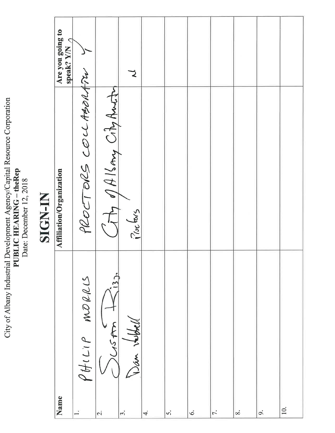|        | Are you going to<br>$\mathcal{L}$<br>speak? Y/N |                      |                                 | つ                     |    |    |    |           |          |    |     |
|--------|-------------------------------------------------|----------------------|---------------------------------|-----------------------|----|----|----|-----------|----------|----|-----|
| ENTHUM | Affiliation/Organization                        | PROCTORS COLLADORATE | The PAISMAN City Anim           | $\frac{1}{1}$ (octors |    |    |    |           |          |    |     |
|        | Name                                            | MLOALCS<br>$P$ HILIP | ربا<br>$\overline{\mathcal{C}}$ | Wan<br>$\vec{3}$      | 4. | s. | Ġ. | $\vec{r}$ | $\infty$ | o, | 10. |

City of Albany Industrial Development Agency/Capital Resource Corporation<br>PUBLIC HEARING – theRep<br>Date: December 12, 2018

## SIGN-IN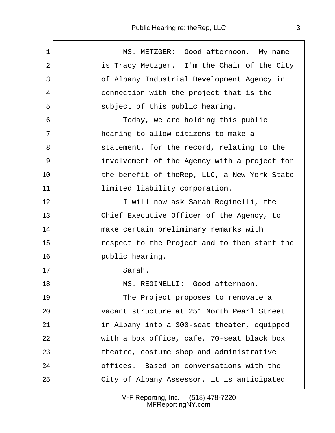| $\mathbf 1$  | MS. METZGER: Good afternoon. My name         |
|--------------|----------------------------------------------|
| 2            | is Tracy Metzger. I'm the Chair of the City  |
| $\mathbf{3}$ | of Albany Industrial Development Agency in   |
| 4            | connection with the project that is the      |
| 5            | subject of this public hearing.              |
| 6            | Today, we are holding this public            |
| 7            | hearing to allow citizens to make a          |
| 8            | statement, for the record, relating to the   |
| 9            | involvement of the Agency with a project for |
| 10           | the benefit of theRep, LLC, a New York State |
| 11           | limited liability corporation.               |
| 12           | I will now ask Sarah Reginelli, the          |
| 13           | Chief Executive Officer of the Agency, to    |
| 14           | make certain preliminary remarks with        |
| 15           | respect to the Project and to then start the |
| 16           | public hearing.                              |
| 17           | Sarah.                                       |
| 18           | MS. REGINELLI: Good afternoon.               |
| 19           | The Project proposes to renovate a           |
| 20           | vacant structure at 251 North Pearl Street   |
| 21           | in Albany into a 300-seat theater, equipped  |
| 22           | with a box office, cafe, 70-seat black box   |
| 23           | theatre, costume shop and administrative     |
| 24           | offices. Based on conversations with the     |
| 25           | City of Albany Assessor, it is anticipated   |
|              |                                              |

M-F Reporting, Inc. (518) 478-7220 MFReportingNY.com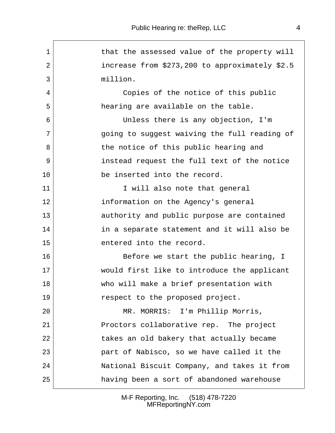| $\mathbf 1$ | that the assessed value of the property will   |
|-------------|------------------------------------------------|
| 2           | increase from \$273,200 to approximately \$2.5 |
| 3           | million.                                       |
| 4           | Copies of the notice of this public            |
| 5           | hearing are available on the table.            |
| 6           | Unless there is any objection, I'm             |
| 7           | going to suggest waiving the full reading of   |
| 8           | the notice of this public hearing and          |
| 9           | instead request the full text of the notice    |
| 10          | be inserted into the record.                   |
| 11          | I will also note that general                  |
| 12          | information on the Agency's general            |
| 13          | authority and public purpose are contained     |
| 14          | in a separate statement and it will also be    |
| 15          | entered into the record.                       |
| 16          | Before we start the public hearing, I          |
| 17          | would first like to introduce the applicant    |
| 18          | who will make a brief presentation with        |
| 19          | respect to the proposed project.               |
| 20          | MR. MORRIS: I'm Phillip Morris,                |
| 21          | Proctors collaborative rep. The project        |
| 22          | takes an old bakery that actually became       |
| 23          | part of Nabisco, so we have called it the      |
| 24          | National Biscuit Company, and takes it from    |
| 25          | having been a sort of abandoned warehouse      |
|             |                                                |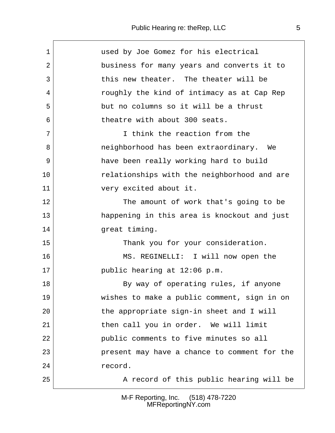| $\mathbf 1$ | used by Joe Gomez for his electrical         |
|-------------|----------------------------------------------|
| 2           | business for many years and converts it to   |
| 3           | this new theater. The theater will be        |
| 4           | roughly the kind of intimacy as at Cap Rep   |
| 5           | but no columns so it will be a thrust        |
| 6           | theatre with about 300 seats.                |
| 7           | I think the reaction from the                |
| 8           | neighborhood has been extraordinary. We      |
| 9           | have been really working hard to build       |
| 10          | relationships with the neighborhood and are  |
| 11          | very excited about it.                       |
| 12          | The amount of work that's going to be        |
| 13          | happening in this area is knockout and just  |
| 14          | great timing.                                |
| 15          | Thank you for your consideration.            |
| 16          | MS. REGINELLI: I will now open the           |
| 17          | public hearing at 12:06 p.m.                 |
| 18          | By way of operating rules, if anyone         |
| 19          | wishes to make a public comment, sign in on  |
| 20          | the appropriate sign-in sheet and I will     |
| 21          | then call you in order. We will limit        |
| 22          | public comments to five minutes so all       |
| 23          | present may have a chance to comment for the |
| 24          | record.                                      |
| 25          | A record of this public hearing will be      |
|             |                                              |

M-F Reporting, Inc. (518) 478-7220 MFReportingNY.com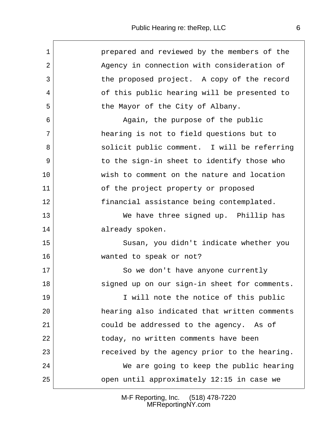$\sqrt{ }$ 

| $\mathbf{1}$   | prepared and reviewed by the members of the  |  |
|----------------|----------------------------------------------|--|
| $\overline{2}$ | Agency in connection with consideration of   |  |
| $\mathbf{3}$   | the proposed project. A copy of the record   |  |
| 4              | of this public hearing will be presented to  |  |
| 5              | the Mayor of the City of Albany.             |  |
| 6              | Again, the purpose of the public             |  |
| $7\phantom{.}$ | hearing is not to field questions but to     |  |
| 8              | solicit public comment. I will be referring  |  |
| 9              | to the sign-in sheet to identify those who   |  |
| 10             | wish to comment on the nature and location   |  |
| 11             | of the project property or proposed          |  |
| $12 \,$        | financial assistance being contemplated.     |  |
| 13             | We have three signed up. Phillip has         |  |
| 14             | already spoken.                              |  |
| 15             | Susan, you didn't indicate whether you       |  |
| 16             | wanted to speak or not?                      |  |
| 17             | So we don't have anyone currently            |  |
| 18             | signed up on our sign-in sheet for comments. |  |
| 19             | I will note the notice of this public        |  |
| 20             | hearing also indicated that written comments |  |
| 21             | could be addressed to the agency. As of      |  |
| 22             | today, no written comments have been         |  |
| 23             | received by the agency prior to the hearing. |  |
| 24             | We are going to keep the public hearing      |  |
| 25             | open until approximately 12:15 in case we    |  |

M-F Reporting, Inc. (518) 478-7220 MFReportingNY.com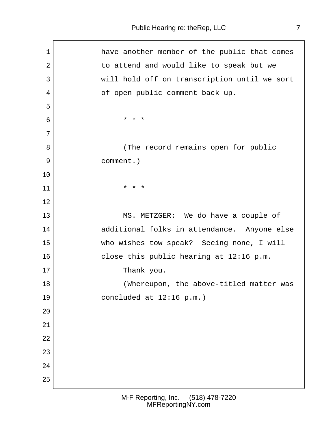| $\mathbf 1$    | have another member of the public that comes |
|----------------|----------------------------------------------|
| $\overline{2}$ | to attend and would like to speak but we     |
| 3              | will hold off on transcription until we sort |
| 4              | of open public comment back up.              |
| 5              |                                              |
| 6              | * * *                                        |
| 7              |                                              |
| 8              | (The record remains open for public          |
| 9              | comment.)                                    |
| 10             |                                              |
| 11             | * * *                                        |
| 12             |                                              |
| 13             | MS. METZGER: We do have a couple of          |
| 14             | additional folks in attendance. Anyone else  |
| 15             | who wishes tow speak? Seeing none, I will    |
| 16             | close this public hearing at 12:16 p.m.      |
| 17             | Thank you.                                   |
| 18             | (Whereupon, the above-titled matter was      |
| 19             | concluded at 12:16 p.m.)                     |
| 20             |                                              |
| 21             |                                              |
| 22             |                                              |
| 23             |                                              |
| 24             |                                              |
| 25             |                                              |
|                |                                              |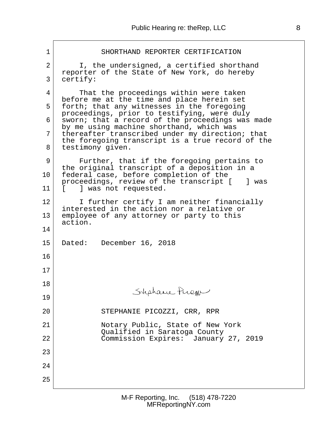| $\mathbf 1$    | SHORTHAND REPORTER CERTIFICATION                                                             |
|----------------|----------------------------------------------------------------------------------------------|
| $\overline{2}$ | I, the undersigned, a certified shorthand<br>reporter of the State of New York, do hereby    |
| 3              | certify:                                                                                     |
| 4              | That the proceedings within were taken<br>before me at the time and place herein set         |
| 5              | forth; that any witnesses in the foregoing<br>proceedings, prior to testifying, were duly    |
| 6              | sworn; that a record of the proceedings was made<br>by me using machine shorthand, which was |
| 7              | thereafter transcribed under my direction; that                                              |
| 8              | the foregoing transcript is a true record of the<br>testimony given.                         |
| 9              | Further, that if the foregoing pertains to                                                   |
| 10             | the original transcript of a deposition in a<br>federal case, before completion of the       |
| 11             | proceedings, review of the transcript [<br>] was<br>] was not requested.<br>$\mathbf{L}$     |
| 12             | I further certify I am neither financially<br>interested in the action nor a relative or     |
| 13             | employee of any attorney or party to this<br>action.                                         |
| 14             |                                                                                              |
| 15             | Dated: December 16, 2018                                                                     |
| 16             |                                                                                              |
| 17             |                                                                                              |
| 18             |                                                                                              |
| 19             | Stephane Prien                                                                               |
| 20             | STEPHANIE PICOZZI, CRR, RPR                                                                  |
| 21             | Notary Public, State of New York                                                             |
| 22             | Qualified in Saratoga County<br>Commission Expires: January 27, 2019                         |
| 23             |                                                                                              |
| 24             |                                                                                              |
| 25             |                                                                                              |
|                |                                                                                              |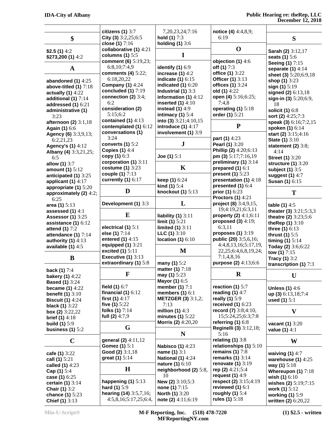|                                                 | citizens $(1)$ 3:7<br>City (3) $3:2,25;6:5$   | 7,20,23,24;7:16<br>hold $(1) 7:3$             | notice (4) 4:4,8,9;<br>6:19                 |                              |
|-------------------------------------------------|-----------------------------------------------|-----------------------------------------------|---------------------------------------------|------------------------------|
| \$                                              | close (1) 7:16                                | holding $(1)$ 3:6                             |                                             | S                            |
| \$2.5 $(1)$ 4:2                                 | collaborative (1) 4:21                        |                                               | $\mathbf 0$                                 | Sarah (2) 3:12,17            |
| \$273,200(1)4:2                                 | columns (1) $5:5$                             | I                                             |                                             | seats (1) 5:6                |
|                                                 | comment (6) 5:19,23;                          |                                               | objection $(1)$ 4:6                         | <b>Seeing (1) 7:15</b>       |
| A                                               | 6:8, 10; 7:4, 9                               | identify $(1)$ 6:9                            | off (1) 7:3                                 | separate (1) 4:14            |
|                                                 | comments (4) 5:22;                            | increase $(1)$ 4:2                            | office (1) 3:22                             | sheet (3) 5:20;6:9,18        |
| abandoned $(1)$ 4:25                            | 6:18,20,22                                    | indicate $(1)$ 6:15                           | <b>Officer (1)</b> 3:13                     | shop (1) 3:23                |
| above-titled $(1)$ $7:18$                       | <b>Company (1)</b> 4:24                       | indicated $(1)$ 6:20                          | offices (1) 3:24                            | sign (1) 5:19                |
| actually $(1)$ 4:22                             | concluded $(1)$ $7:19$                        | Industrial (1) 3:3                            | old (1) 4:22                                | signed (2) 6:13,18           |
| additional (1) 7:14                             | connection (2) $3:4;$                         | information (1) $4:12$                        | open (4) 5:16;6:25;                         | sign-in (3) 5:20;6:9,        |
| addressed (1) 6:21                              | 6:2                                           | inserted $(1)$ 4:10                           | 7:4,8                                       | 18                           |
| administrative (1)                              | consideration (2)                             | instead $(1)$ 4:9                             | operating (1) 5:18                          | solicit (1) 6:8              |
| 3:23                                            | 5:15;6:2<br>contained $(1)$ 4:13              | intimacy $(1)$ 5:4<br>into (3) $3:21;4:10,15$ | order (1) 5:21                              | sort (2) 4:25;7:3            |
| afternoon (2) 3:1,18                            | contemplated (1) 6:12                         | introduce $(1)$ 4:17                          | ${\bf P}$                                   | speak (3) 6:16;7:2,15        |
| Again (1) 6:6                                   | conversations (1)                             | involvement (1) 3:9                           |                                             | spoken (1) 6:14              |
| Agency (6) 3:3,9,13;                            | 3:24                                          |                                               | part (1) 4:23                               | start (2) 3:15;4:16          |
| 6:2.21.23                                       | converts $(1)$ 5:2                            | ${\bf J}$                                     | Pearl (1) 3:20                              | <b>State (1)</b> 3:10        |
| <b>Agency's (1)</b> 4:12                        | <b>Copies (1) 4:4</b>                         |                                               | Phillip (2) 4:20;6:13                       | statement $(2)$ 3:8;<br>4:14 |
| Albany (4) 3:3,21,25;<br>6:5                    | copy $(1)$ 6:3                                | Joe $(1)$ 5:1                                 | pm (3) $5:17;7:16,19$                       | <b>Street (1) 3:20</b>       |
| allow (1) 3:7                                   | corporation (1) 3:11                          |                                               | preliminary $(1)$ 3:14                      | structure $(1)$ 3:20         |
| amount (1) 5:12                                 | costume (1) 3:23                              | K                                             | prepared $(1)$ 6:1                          | subject (1) 3:5              |
| anticipated (1) 3:25                            | couple (1) 7:13                               |                                               | present (1) 5:23                            | suggest (1) 4:7              |
| applicant $(1)$ 4:17                            | currently $(1)$ 6:17                          | keep (1) 6:24                                 | presentation (1) 4:18                       | <b>Susan (1)</b> 6:15        |
| appropriate $(1)$ 5:20                          |                                               | <b>kind</b> (1) $5:4$                         | presented $(1)$ 6:4                         |                              |
| approximately (2) 4:2;                          | D                                             | knockout (1) 5:13                             | prior (1) 6:23                              | T                            |
| 6:25                                            |                                               |                                               | <b>Proctors (1)</b> 4:21                    |                              |
| area (1) 5:13                                   | Development (1) 3:3                           | L                                             | project (8) 3:4,9,15,                       | table $(1)$ 4:5              |
| assessed (1) 4:1                                |                                               |                                               | 19;4:19,21;6:3,11                           | theater (3) 3:21;5:3,3       |
| <b>Assessor (1)</b> 3:25                        | E                                             | liability $(1)$ 3:11                          | property (2) 4:1;6:11                       | theatre (2) 3:23;5:6         |
| assistance $(1)$ 6:12                           |                                               | limit $(1)$ 5:21                              | proposed $(3)$ 4:19;                        | theRep (1) 3:10              |
| attend (1) 7:2                                  | electrical $(1)$ 5:1                          | limited $(1)$ 3:11                            | 6:3,11                                      | three (1) 6:13               |
| attendance (1) 7:14                             | else (1) 7:14                                 | $LLC(1)$ 3:10                                 | proposes $(1)$ 3:19                         | thrust $(1)$ 5:5             |
| authority $(1)$ 4:13                            | entered $(1)$ 4:15                            | location (1) $6:10$                           | public (20) 3:5,6,16;                       | timing $(1)$ 5:14            |
| available $(1)$ 4:5                             | equipped $(1)$ 3:21                           | M                                             | 4:4,8,13,16;5:17,19,                        | Today (2) 3:6;6:22           |
|                                                 | excited (1) 5:11<br><b>Executive (1)</b> 3:13 |                                               | 22,25;6:4,6,8,19,24;<br>7:1,4,8,16          | tow (1) $7:15$               |
| B                                               | extraordinary (1) 5:8                         | many (1) 5:2                                  | purpose (2) 4:13;6:6                        | <b>Tracy (1) 3:2</b>         |
|                                                 |                                               | matter (1) 7:18                               |                                             | transcription (1) 7:3        |
| back (1) 7:4                                    | $\mathbf F$                                   | may (1) 5:23                                  | $\bf R$                                     | U                            |
| <b>bakery (1)</b> 4:22<br><b>Based (1)</b> 3:24 |                                               | Mayor (1) 6:5                                 |                                             |                              |
| <b>became (1)</b> $4:22$                        | field $(1)$ 6:7                               | member $(1)$ 7:1                              | reaction $(1)$ 5:7                          | <b>Unless (1) 4:6</b>        |
| benefit $(1)$ 3:10                              | financial $(1)$ 6:12                          | members $(1)$ 6:1                             | reading $(1)$ 4:7                           | up (3) 6:13,18;7:4           |
| <b>Biscuit (1)</b> 4:24                         | first $(1)$ 4:17                              | <b>METZGER (3)</b> 3:1,2;                     | really $(1)$ 5:9                            | used $(1)$ 5:1               |
| <b>black (1)</b> $3:22$                         | five (1) 5:22                                 | 7:13                                          | received $(1)$ 6:23                         |                              |
| box (2) $3:22,22$                               | folks (1) 7:14                                | million $(1)$ 4:3                             | record (7) 3:8;4:10,                        | $\mathbf{V}$                 |
| <b>brief (1)</b> $4:18$                         | full (2) $4:7,9$                              | minutes $(1)$ 5:22                            | 15;5:24,25;6:3;7:8                          |                              |
| <b>build (1)</b> $5:9$                          |                                               | Morris (2) 4:20,20                            | referring $(1)$ 6:8                         | vacant (1) 3:20              |
| business $(1)$ 5:2                              | G                                             |                                               | Reginelli (3) 3:12,18;                      | value $(1)$ 4:1              |
|                                                 |                                               | N                                             | 5:16                                        |                              |
| $\mathbf C$                                     | general (2) 4:11,12                           |                                               | relating $(1)$ 3:8                          | W                            |
|                                                 | Gomez (1) 5:1                                 | <b>Nabisco (1)</b> 4:23                       | relationships (1) 5:10                      |                              |
| cafe (1) 3:22                                   | Good (2) 3:1,18                               | name (1) 3:1                                  | remains $(1)$ 7:8                           | waiving $(1)$ 4:7            |
| call (1) 5:21                                   | great (1) 5:14                                | <b>National (1) 4:24</b>                      | remarks $(1)$ 3:14                          | warehouse (1) 4:25           |
| called (1) 4:23                                 |                                               | nature (1) 6:10                               | renovate $(1)$ 3:19                         | way (1) 5:18                 |
| Cap (1) 5:4                                     | $\mathbf H$                                   | neighborhood (2) 5:8,                         | rep (2) 4:21;5:4                            | Whereupon (1) $7:18$         |
| case (1) 6:25                                   |                                               | 10                                            | request $(1)$ 4:9                           | wish $(1)$ 6:10              |
| certain $(1)$ 3:14                              | happening $(1)$ 5:13                          | New (2) 3:10;5:3                              | respect (2) 3:15;4:19<br>reviewed $(1)$ 6:1 | wishes (2) $5:19;7:15$       |
| <b>Chair (1) 3:2</b>                            | hard (1) 5:9<br>hearing (14) 3:5,7,16;        | none (1) 7:15                                 | roughly $(1)$ 5:4                           | work (1) 5:12                |
| chance (1) 5:23                                 | 4:5,8,16;5:17,25;6:4,                         | <b>North (1)</b> 3:20<br>note (2) 4:11;6:19   | rules (1) $5:18$                            | working (1) 5:9              |
| Chief (1) 3:13                                  |                                               |                                               |                                             | written (2) 6:20,22          |

**Min-U-Script® M-F Reporting, Inc. (518) 478-7220 MFReportingNY.com**